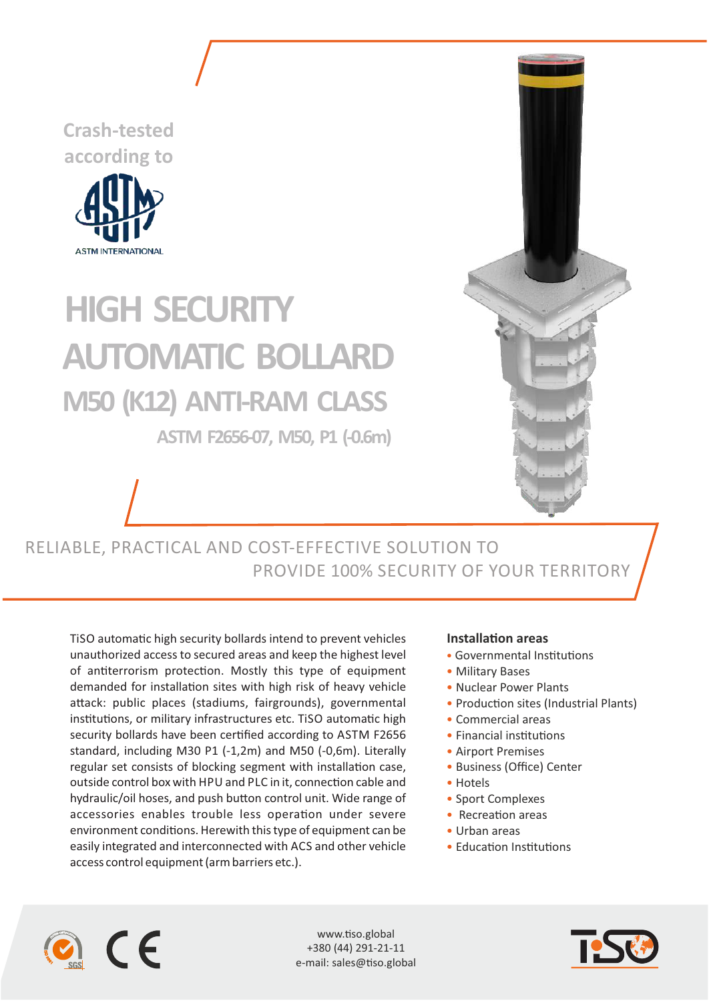**Crash-tested according to**



## **HIGH SECURITY M50 (K12) ANTI-RAM CLASS ASTM F2656-07, M50, P1 (-0.6m) AUTOMATIC BOLLARD**



RELIABLE, PRACTICAL AND COST-EFFECTIVE SOLUTION TO PROVIDE 100% SECURITY OF YOUR TERRITORY

TiSO automatic high security bollards intend to prevent vehicles unauthorized access to secured areas and keep the highest level of antiterrorism protection. Mostly this type of equipment demanded for installation sites with high risk of heavy vehicle attack: public places (stadiums, fairgrounds), governmental institutions, or military infrastructures etc. TiSO automatic high security bollards have been certified according to ASTM F2656 standard, including M30 P1 (-1,2m) and M50 (-0,6m). Literally regular set consists of blocking segment with installation case, outside control box with HPU and PLC in it, connection cable and hydraulic/oil hoses, and push button control unit. Wide range of accessories enables trouble less operation under severe environment conditions. Herewith this type of equipment can be easily integrated and interconnected with ACS and other vehicle access control equipment (arm barriers etc.).

## **Installation areas**

- Governmental Institutions
- Military Bases
- Nuclear Power Plants
- Production sites (Industrial Plants)
- Commercial areas
- $\bullet$  Financial institutions
- Airport Premises
- Business (Office) Center
- Hotels
- Sport Complexes
- $\bullet$  Recreation areas
- Urban areas
- Education Institutions



www.tiso.global +380 (44) 291-21-11 e-mail: sales@tiso.global

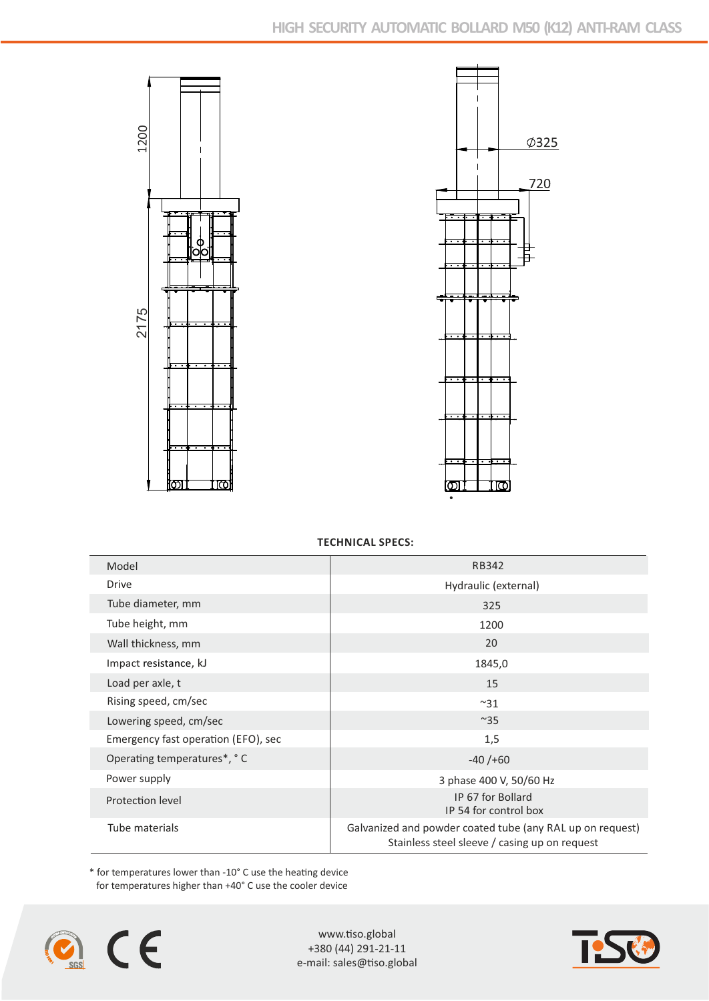



## **TECHNICAL SPECS:**

| Model                               | RB342                                                                                                      |
|-------------------------------------|------------------------------------------------------------------------------------------------------------|
| Drive                               | Hydraulic (external)                                                                                       |
| Tube diameter, mm                   | 325                                                                                                        |
| Tube height, mm                     | 1200                                                                                                       |
| Wall thickness, mm                  | 20                                                                                                         |
| Impact resistance, kJ               | 1845,0                                                                                                     |
| Load per axle, t                    | 15                                                                                                         |
| Rising speed, cm/sec                | $~^{\sim}31$                                                                                               |
| Lowering speed, cm/sec              | $~^{\sim}35$                                                                                               |
| Emergency fast operation (EFO), sec | 1,5                                                                                                        |
| Operating temperatures*, °C         | $-40/+60$                                                                                                  |
| Power supply                        | 3 phase 400 V, 50/60 Hz                                                                                    |
| Protection level                    | IP 67 for Bollard<br>IP 54 for control box                                                                 |
| Tube materials                      | Galvanized and powder coated tube (any RAL up on request)<br>Stainless steel sleeve / casing up on request |

 $*$  for temperatures lower than -10 $^{\circ}$  C use the heating device for temperatures higher than +40° C use the cooler device



www.tiso.global +380 (44) 291-21-11 e-mail: sales@tiso.global